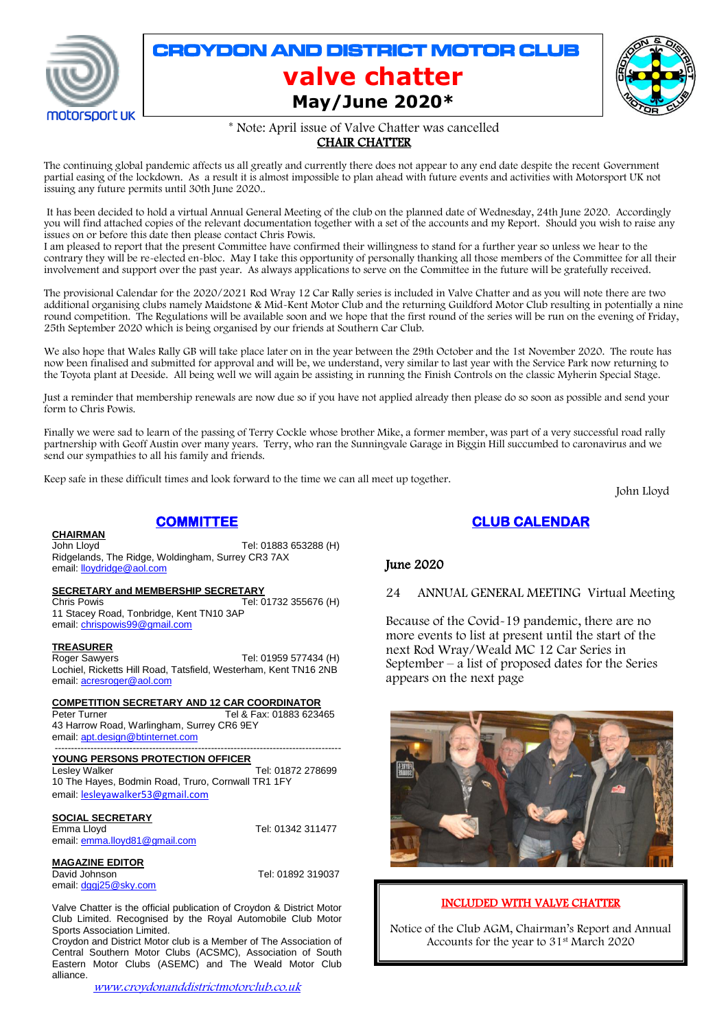

# CROYDON AND DISTRICT MOTOR CLUB **valve chatter May/June 2020\***



\* Note: April issue of Valve Chatter was cancelled

# CHAIR CHATTER

The continuing global pandemic affects us all greatly and currently there does not appear to any end date despite the recent Government partial easing of the lockdown. As a result it is almost impossible to plan ahead with future events and activities with Motorsport UK not issuing any future permits until 30th June 2020..

It has been decided to hold a virtual Annual General Meeting of the club on the planned date of Wednesday, 24th June 2020. Accordingly you will find attached copies of the relevant documentation together with a set of the accounts and my Report. Should you wish to raise any issues on or before this date then please contact Chris Powis.

I am pleased to report that the present Committee have confirmed their willingness to stand for a further year so unless we hear to the contrary they will be re-elected en-bloc. May I take this opportunity of personally thanking all those members of the Committee for all their involvement and support over the past year. As always applications to serve on the Committee in the future will be gratefully received.

The provisional Calendar for the 2020/2021 Rod Wray 12 Car Rally series is included in Valve Chatter and as you will note there are two additional organising clubs namely Maidstone & Mid-Kent Motor Club and the returning Guildford Motor Club resulting in potentially a nine round competition. The Regulations will be available soon and we hope that the first round of the series will be run on the evening of Friday, 25th September 2020 which is being organised by our friends at Southern Car Club.

We also hope that Wales Rally GB will take place later on in the year between the 29th October and the 1st November 2020. The route has now been finalised and submitted for approval and will be, we understand, very similar to last year with the Service Park now returning to the Toyota plant at Deeside. All being well we will again be assisting in running the Finish Controls on the classic Myherin Special Stage.

Just a reminder that membership renewals are now due so if you have not applied already then please do so soon as possible and send your form to Chris Powis.

Finally we were sad to learn of the passing of Terry Cockle whose brother Mike, a former member, was part of a very successful road rally partnership with Geoff Austin over many years. Terry, who ran the Sunningvale Garage in Biggin Hill succumbed to caronavirus and we send our sympathies to all his family and friends.

Keep safe in these difficult times and look forward to the time we can all meet up together.

John Lloyd

# **CLUB CALENDAR**

## June 2020

## 24 ANNUAL GENERAL MEETING Virtual Meeting

Because of the Covid-19 pandemic, there are no more events to list at present until the start of the next Rod Wray/Weald MC 12 Car Series in September – a list of proposed dates for the Series appears on the next page



## INCLUDED WITH VALVE CHATTER

Notice of the Club AGM, Chairman's Report and Annual Accounts for the year to 31st March 2020

### **CHAIRMAN**

**COMMITTEE**  John Lloyd Tel: 01883 653288 (H)

Ridgelands, The Ridge, Woldingham, Surrey CR3 7AX email: **lloydridge@aol.com** 

### **SECRETARY and MEMBERSHIP SECRETARY**

Chris Powis Tel: 01732 355676 (H) 11 Stacey Road, Tonbridge, Kent TN10 3AP email[: chrispowis99@gmail.com](mailto:chrispowis99@gmail.com)

### **TREASURER**

Roger Sawyers Tel: 01959 577434 (H) Lochiel, Ricketts Hill Road, Tatsfield, Westerham, Kent TN16 2NB email[: acresroger@aol.com](mailto:acresroger@aol.com)

**COMPETITION SECRETARY AND 12 CAR COORDINATOR**

Peter Turner Tel & Fax: 01883 623465 43 Harrow Road, Warlingham, Surrey CR6 9EY email[: apt.design@btinternet.com](mailto:apt.design@btinternet.com)

#### ---------------------------------------------------------------------------------------- **YOUNG PERSONS PROTECTION OFFICER**

Lesley Walker Tel: 01872 278699 10 The Hayes, Bodmin Road, Truro, Cornwall TR1 1FY email: [lesleyawalker53@gmail.com](mailto:lesleyawalker53@gmail.com)

# **SOCIAL SECRETARY**<br>Emma Lloyd

email[: emma.lloyd81@gmail.com](mailto:emma.lloyd81@gmail.com)

#### **MAGAZINE EDITOR**

David Johnson Tel: 01892 319037 email[: dggj25@sky.com](mailto:dggj25@sky.com)

Tel: 01342 311477

Valve Chatter is the official publication of Croydon & District Motor Club Limited. Recognised by the Royal Automobile Club Motor Sports Association Limited.

Croydon and District Motor club is a Member of The Association of Central Southern Motor Clubs (ACSMC), Association of South Eastern Motor Clubs (ASEMC) and The Weald Motor Club alliance.